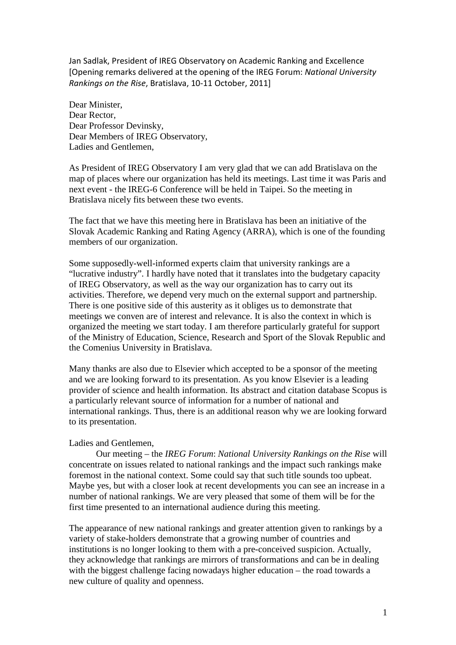Jan Sadlak, President of IREG Observatory on Academic Ranking and Excellence [Opening remarks delivered at the opening of the IREG Forum: *National University Rankings on the Rise*, Bratislava, 10-11 October, 2011]

Dear Minister, Dear Rector, Dear Professor Devinsky, Dear Members of IREG Observatory, Ladies and Gentlemen,

As President of IREG Observatory I am very glad that we can add Bratislava on the map of places where our organization has held its meetings. Last time it was Paris and next event - the IREG-6 Conference will be held in Taipei. So the meeting in Bratislava nicely fits between these two events.

The fact that we have this meeting here in Bratislava has been an initiative of the Slovak Academic Ranking and Rating Agency (ARRA), which is one of the founding members of our organization.

Some supposedly-well-informed experts claim that university rankings are a "lucrative industry". I hardly have noted that it translates into the budgetary capacity of IREG Observatory, as well as the way our organization has to carry out its activities. Therefore, we depend very much on the external support and partnership. There is one positive side of this austerity as it obliges us to demonstrate that meetings we conven are of interest and relevance. It is also the context in which is organized the meeting we start today. I am therefore particularly grateful for support of the Ministry of Education, Science, Research and Sport of the Slovak Republic and the Comenius University in Bratislava.

Many thanks are also due to Elsevier which accepted to be a sponsor of the meeting and we are looking forward to its presentation. As you know Elsevier is a leading provider of science and health information. Its abstract and citation database Scopus is a particularly relevant source of information for a number of national and international rankings. Thus, there is an additional reason why we are looking forward to its presentation.

## Ladies and Gentlemen,

Our meeting – the *IREG Forum*: *National University Rankings on the Rise* will concentrate on issues related to national rankings and the impact such rankings make foremost in the national context. Some could say that such title sounds too upbeat. Maybe yes, but with a closer look at recent developments you can see an increase in a number of national rankings. We are very pleased that some of them will be for the first time presented to an international audience during this meeting.

The appearance of new national rankings and greater attention given to rankings by a variety of stake-holders demonstrate that a growing number of countries and institutions is no longer looking to them with a pre-conceived suspicion. Actually, they acknowledge that rankings are mirrors of transformations and can be in dealing with the biggest challenge facing nowadays higher education – the road towards a new culture of quality and openness.